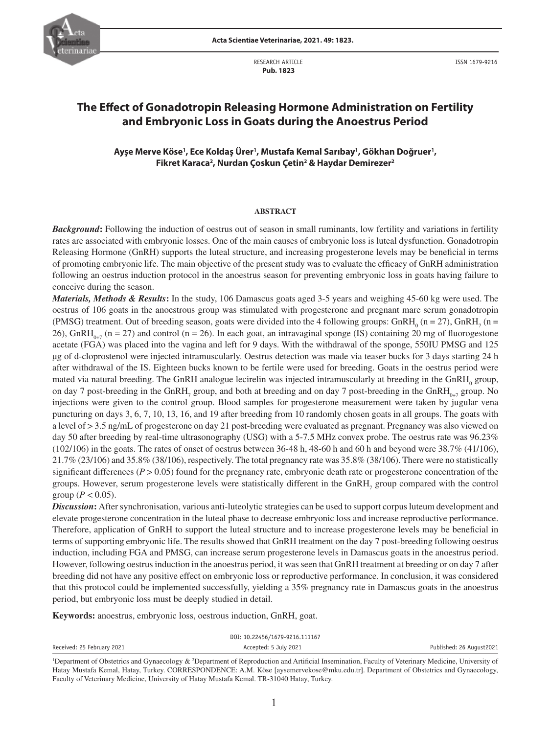

RESEARCH ARTICLE  **Pub. 1823**



ISSN 1679-9216

# **The Effect of Gonadotropin Releasing Hormone Administration on Fertility and Embryonic Loss in Goats during the Anoestrus Period**

## Ayşe Merve Köse', Ece Koldaş Ürer', Mustafa Kemal Sarıbay', Gökhan Doğruer', **Fikret Karaca2 , Nurdan Çoskun Çetin2 & Haydar Demirezer2**

#### **ABSTRACT**

*Background***:** Following the induction of oestrus out of season in small ruminants, low fertility and variations in fertility rates are associated with embryonic losses. One of the main causes of embryonic loss is luteal dysfunction. Gonadotropin Releasing Hormone (GnRH) supports the luteal structure, and increasing progesterone levels may be beneficial in terms of promoting embryonic life. The main objective of the present study was to evaluate the efficacy of GnRH administration following an oestrus induction protocol in the anoestrus season for preventing embryonic loss in goats having failure to conceive during the season.

*Materials, Methods & Results***:** In the study, 106 Damascus goats aged 3-5 years and weighing 45-60 kg were used. The oestrus of 106 goats in the anoestrous group was stimulated with progesterone and pregnant mare serum gonadotropin (PMSG) treatment. Out of breeding season, goats were divided into the 4 following groups:  $GnRH_0$  (n = 27),  $GnRH_7$  (n = 26), GnRH<sub>0+7</sub> (n = 27) and control (n = 26). In each goat, an intravaginal sponge (IS) containing 20 mg of fluorogestone acetate (FGA) was placed into the vagina and left for 9 days. With the withdrawal of the sponge, 550IU PMSG and 125 μg of d-cloprostenol were injected intramuscularly. Oestrus detection was made via teaser bucks for 3 days starting 24 h after withdrawal of the IS. Eighteen bucks known to be fertile were used for breeding. Goats in the oestrus period were mated via natural breeding. The GnRH analogue lecirelin was injected intramuscularly at breeding in the GnRH<sub>0</sub> group, on day 7 post-breeding in the GnRH<sub>7</sub> group, and both at breeding and on day 7 post-breeding in the GnRH<sub>0+7</sub> group. No injections were given to the control group. Blood samples for progesterone measurement were taken by jugular vena puncturing on days 3, 6, 7, 10, 13, 16, and 19 after breeding from 10 randomly chosen goats in all groups. The goats with a level of > 3.5 ng/mL of progesterone on day 21 post-breeding were evaluated as pregnant. Pregnancy was also viewed on day 50 after breeding by real-time ultrasonography (USG) with a 5-7.5 MHz convex probe. The oestrus rate was 96.23%  $(102/106)$  in the goats. The rates of onset of oestrus between 36-48 h, 48-60 h and 60 h and beyond were 38.7% (41/106), 21.7% (23/106) and 35.8% (38/106), respectively. The total pregnancy rate was 35.8% (38/106). There were no statistically significant differences ( $P > 0.05$ ) found for the pregnancy rate, embryonic death rate or progesterone concentration of the groups. However, serum progesterone levels were statistically different in the  $GnRH$ <sub>7</sub> group compared with the control group ( $P < 0.05$ ).

*Discussion***:** After synchronisation, various anti-luteolytic strategies can be used to support corpus luteum development and elevate progesterone concentration in the luteal phase to decrease embryonic loss and increase reproductive performance. Therefore, application of GnRH to support the luteal structure and to increase progesterone levels may be beneficial in terms of supporting embryonic life. The results showed that GnRH treatment on the day 7 post-breeding following oestrus induction, including FGA and PMSG, can increase serum progesterone levels in Damascus goats in the anoestrus period. However, following oestrus induction in the anoestrus period, it was seen that GnRH treatment at breeding or on day 7 after breeding did not have any positive effect on embryonic loss or reproductive performance. In conclusion, it was considered that this protocol could be implemented successfully, yielding a 35% pregnancy rate in Damascus goats in the anoestrus period, but embryonic loss must be deeply studied in detail.

**Keywords:** anoestrus, embryonic loss, oestrous induction, GnRH, goat.

|                            | DOI: 10.22456/1679-9216.111167 |                          |
|----------------------------|--------------------------------|--------------------------|
| Received: 25 February 2021 | Accepted: 5 July 2021          | Published: 26 August2021 |
|                            |                                |                          |

<sup>&</sup>lt;sup>1</sup>Department of Obstetrics and Gynaecology & <sup>2</sup>Department of Reproduction and Artificial Insemination, Faculty of Veterinary Medicine, University of Hatay Mustafa Kemal, Hatay, Turkey. CORRESPONDENCE: A.M. Köse [aysemervekose@mku.edu.tr]. Department of Obstetrics and Gynaecology, Faculty of Veterinary Medicine, University of Hatay Mustafa Kemal. TR-31040 Hatay, Turkey.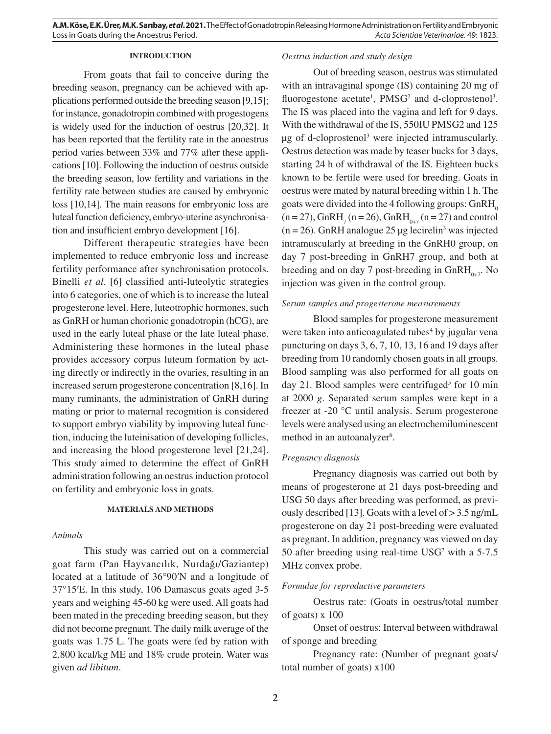## **INTRODUCTION**

From goats that fail to conceive during the breeding season, pregnancy can be achieved with applications performed outside the breeding season [9,15]; for instance, gonadotropin combined with progestogens is widely used for the induction of oestrus [20,32]. It has been reported that the fertility rate in the anoestrus period varies between 33% and 77% after these applications [10]. Following the induction of oestrus outside the breeding season, low fertility and variations in the fertility rate between studies are caused by embryonic loss [10,14]. The main reasons for embryonic loss are luteal function deficiency, embryo-uterine asynchronisation and insufficient embryo development [16].

Different therapeutic strategies have been implemented to reduce embryonic loss and increase fertility performance after synchronisation protocols. Binelli *et al*. [6] classified anti-luteolytic strategies into 6 categories, one of which is to increase the luteal progesterone level. Here, luteotrophic hormones, such as GnRH or human chorionic gonadotropin (hCG), are used in the early luteal phase or the late luteal phase. Administering these hormones in the luteal phase provides accessory corpus luteum formation by acting directly or indirectly in the ovaries, resulting in an increased serum progesterone concentration [8,16]. In many ruminants, the administration of GnRH during mating or prior to maternal recognition is considered to support embryo viability by improving luteal function, inducing the luteinisation of developing follicles, and increasing the blood progesterone level [21,24]. This study aimed to determine the effect of GnRH administration following an oestrus induction protocol on fertility and embryonic loss in goats.

## **MATERIALS AND METHODS**

## *Animals*

This study was carried out on a commercial goat farm (Pan Hayvancılık, Nurdağı/Gaziantep) located at a latitude of 36°90′N and a longitude of 37°15′E. In this study, 106 Damascus goats aged 3-5 years and weighing 45-60 kg were used. All goats had been mated in the preceding breeding season, but they did not become pregnant. The daily milk average of the goats was 1.75 L. The goats were fed by ration with 2,800 kcal/kg ME and 18% crude protein. Water was given *ad libitum*.

## *Oestrus induction and study design*

Out of breeding season, oestrus was stimulated with an intravaginal sponge (IS) containing 20 mg of fluorogestone acetate<sup>1</sup>, PMSG<sup>2</sup> and d-cloprostenol<sup>3</sup>. The IS was placed into the vagina and left for 9 days. With the withdrawal of the IS, 550IU PMSG2 and 125 μg of d-cloprostenol<sup>3</sup> were injected intramuscularly. Oestrus detection was made by teaser bucks for 3 days, starting 24 h of withdrawal of the IS. Eighteen bucks known to be fertile were used for breeding. Goats in oestrus were mated by natural breeding within 1 h. The goats were divided into the 4 following groups:  $GnRH$ <sub>0</sub>  $(n = 27)$ , GnRH<sub>7</sub> (n = 26), GnRH<sub>0+7</sub> (n = 27) and control  $(n = 26)$ . GnRH analogue 25 µg lecirelin<sup>3</sup> was injected intramuscularly at breeding in the GnRH0 group, on day 7 post-breeding in GnRH7 group, and both at breeding and on day 7 post-breeding in  $GnRH_{0+7}$ . No injection was given in the control group.

## *Serum samples and progesterone measurements*

Blood samples for progesterone measurement were taken into anticoagulated tubes<sup>4</sup> by jugular vena puncturing on days 3, 6, 7, 10, 13, 16 and 19 days after breeding from 10 randomly chosen goats in all groups. Blood sampling was also performed for all goats on day 21. Blood samples were centrifuged<sup>5</sup> for 10 min at 2000 *g*. Separated serum samples were kept in a freezer at -20 °C until analysis. Serum progesterone levels were analysed using an electrochemiluminescent method in an autoanalyzer<sup>6</sup>.

## *Pregnancy diagnosis*

Pregnancy diagnosis was carried out both by means of progesterone at 21 days post-breeding and USG 50 days after breeding was performed, as previously described [13]. Goats with a level of > 3.5 ng/mL progesterone on day 21 post-breeding were evaluated as pregnant. In addition, pregnancy was viewed on day 50 after breeding using real-time USG7 with a 5-7.5 MHz convex probe.

#### *Formulae for reproductive parameters*

Oestrus rate: (Goats in oestrus/total number of goats) x 100

Onset of oestrus: Interval between withdrawal of sponge and breeding

Pregnancy rate: (Number of pregnant goats/ total number of goats) x100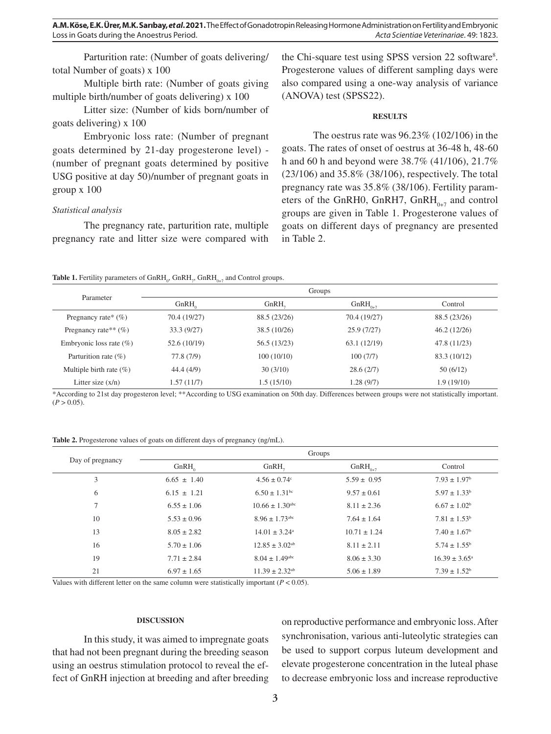Parturition rate: (Number of goats delivering/ total Number of goats) x 100

Multiple birth rate: (Number of goats giving multiple birth/number of goats delivering) x 100

Litter size: (Number of kids born/number of goats delivering) x 100

Embryonic loss rate: (Number of pregnant goats determined by 21-day progesterone level) - (number of pregnant goats determined by positive USG positive at day 50)/number of pregnant goats in group x 100

## *Statistical analysis*

The pregnancy rate, parturition rate, multiple pregnancy rate and litter size were compared with

the Chi-square test using SPSS version 22 software<sup>8</sup>. Progesterone values of different sampling days were also compared using a one-way analysis of variance (ANOVA) test (SPSS22).

## **RESULTS**

The oestrus rate was 96.23% (102/106) in the goats. The rates of onset of oestrus at 36-48 h, 48-60 h and 60 h and beyond were 38.7% (41/106), 21.7% (23/106) and 35.8% (38/106), respectively. The total pregnancy rate was 35.8% (38/106). Fertility parameters of the GnRH0, GnRH7,  $GnRH_{0,7}$  and control groups are given in Table 1. Progesterone values of goats on different days of pregnancy are presented in Table 2.

## **Table 1.** Fertility parameters of  $GnRH_0$ ,  $GnRH_1$ ,  $GnRH_{0+7}$  and Control groups.

| Parameter                   | Groups       |                   |              |              |
|-----------------------------|--------------|-------------------|--------------|--------------|
|                             | GnRH         | GnRH <sub>-</sub> | $GnRH_{0+7}$ | Control      |
| Pregnancy rate* $(\% )$     | 70.4 (19/27) | 88.5 (23/26)      | 70.4 (19/27) | 88.5 (23/26) |
| Pregnancy rate** $(\% )$    | 33.3(9/27)   | 38.5(10/26)       | 25.9(7/27)   | 46.2(12/26)  |
| Embryonic loss rate $(\% )$ | 52.6 (10/19) | 56.5 (13/23)      | 63.1(12/19)  | 47.8 (11/23) |
| Parturition rate $(\% )$    | 77.8 (7/9)   | 100(10/10)        | 100(7/7)     | 83.3 (10/12) |
| Multiple birth rate $(\% )$ | 44.4 (4/9)   | 30(3/10)          | 28.6(2/7)    | 50(6/12)     |
| Litter size $(x/n)$         | 1.57 (11/7)  | 1.5 (15/10)       | 1.28(9/7)    | 1.9(19/10)   |

\*According to 21st day progesteron level; \*\*According to USG examination on 50th day. Differences between groups were not statistically important.  $(P > 0.05)$ .

| Table 2. Progesterone values of goats on different days of pregnancy (ng/mL). |  |  |  |
|-------------------------------------------------------------------------------|--|--|--|
|-------------------------------------------------------------------------------|--|--|--|

| Day of pregnancy | Groups          |                                 |                  |                              |
|------------------|-----------------|---------------------------------|------------------|------------------------------|
|                  | GnRH            | GnRH <sub>-</sub>               | $GnRH_{0+7}$     | Control                      |
| 3                | $6.65 \pm 1.40$ | $4.56 \pm 0.74$ °               | $5.59 \pm 0.95$  | $7.93 \pm 1.97$ <sup>b</sup> |
| 6                | $6.15 \pm 1.21$ | $6.50 \pm 1.31$ <sup>bc</sup>   | $9.57 \pm 0.61$  | $5.97 \pm 1.33^b$            |
| 7                | $6.55 \pm 1.06$ | $10.66 \pm 1.30$ <sup>abc</sup> | $8.11 \pm 2.36$  | $6.67 \pm 1.02^b$            |
| 10               | $5.53 \pm 0.96$ | $8.96 \pm 1.73$ <sup>abc</sup>  | $7.64 \pm 1.64$  | $7.81 \pm 1.53^b$            |
| 13               | $8.05 \pm 2.82$ | $14.01 \pm 3.24^{\circ}$        | $10.71 \pm 1.24$ | $7.40 \pm 1.67^{\circ}$      |
| 16               | $5.70 \pm 1.06$ | $12.85 \pm 3.02$ <sup>ab</sup>  | $8.11 \pm 2.11$  | $5.74 \pm 1.55^{\circ}$      |
| 19               | $7.71 \pm 2.84$ | $8.04 \pm 1.49^{\text{abc}}$    | $8.06 \pm 3.30$  | $16.39 \pm 3.65^{\circ}$     |
| 21               | $6.97 \pm 1.65$ | $11.39 \pm 2.32$ <sup>ab</sup>  | $5.06 \pm 1.89$  | $7.39 \pm 1.52^b$            |

Values with different letter on the same column were statistically important  $(P < 0.05)$ .

### **DISCUSSION**

In this study, it was aimed to impregnate goats that had not been pregnant during the breeding season using an oestrus stimulation protocol to reveal the effect of GnRH injection at breeding and after breeding on reproductive performance and embryonic loss. After synchronisation, various anti-luteolytic strategies can be used to support corpus luteum development and elevate progesterone concentration in the luteal phase to decrease embryonic loss and increase reproductive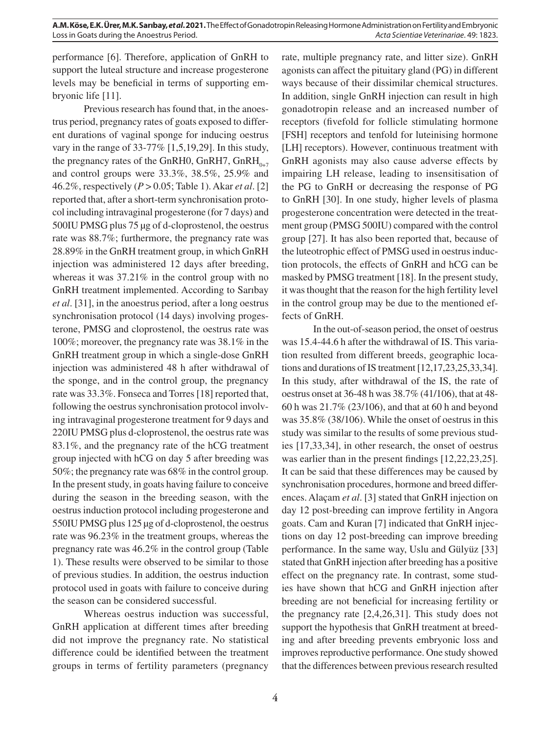**A.M. Köse, E.K. Ürer, M.K. Sarıbay,** *et al***. 2021.** The Effect of Gonadotropin Releasing Hormone Administration on Fertility and Embryonic Loss in Goats during the Anoestrus Period. *Acta Scientiae Veterinariae*. 49: 1823.

performance [6]. Therefore, application of GnRH to support the luteal structure and increase progesterone levels may be beneficial in terms of supporting embryonic life [11].

Previous research has found that, in the anoestrus period, pregnancy rates of goats exposed to different durations of vaginal sponge for inducing oestrus vary in the range of 33-77% [1,5,19,29]. In this study, the pregnancy rates of the GnRH0, GnRH7, GnRH $_{0+7}$ and control groups were 33.3%, 38.5%, 25.9% and 46.2%, respectively (*P* > 0.05; Table 1). Akar *et al*. [2] reported that, after a short-term synchronisation protocol including intravaginal progesterone (for 7 days) and 500IU PMSG plus 75 µg of d-cloprostenol, the oestrus rate was 88.7%; furthermore, the pregnancy rate was 28.89% in the GnRH treatment group, in which GnRH injection was administered 12 days after breeding, whereas it was 37.21% in the control group with no GnRH treatment implemented. According to Sarıbay *et al*. [31], in the anoestrus period, after a long oestrus synchronisation protocol (14 days) involving progesterone, PMSG and cloprostenol, the oestrus rate was 100%; moreover, the pregnancy rate was 38.1% in the GnRH treatment group in which a single-dose GnRH injection was administered 48 h after withdrawal of the sponge, and in the control group, the pregnancy rate was 33.3%. Fonseca and Torres [18] reported that, following the oestrus synchronisation protocol involving intravaginal progesterone treatment for 9 days and 220IU PMSG plus d-cloprostenol, the oestrus rate was 83.1%, and the pregnancy rate of the hCG treatment group injected with hCG on day 5 after breeding was 50%; the pregnancy rate was 68% in the control group. In the present study, in goats having failure to conceive during the season in the breeding season, with the oestrus induction protocol including progesterone and 550IU PMSG plus 125 μg of d-cloprostenol, the oestrus rate was 96.23% in the treatment groups, whereas the pregnancy rate was 46.2% in the control group (Table 1). These results were observed to be similar to those of previous studies. In addition, the oestrus induction protocol used in goats with failure to conceive during the season can be considered successful.

Whereas oestrus induction was successful, GnRH application at different times after breeding did not improve the pregnancy rate. No statistical difference could be identified between the treatment groups in terms of fertility parameters (pregnancy rate, multiple pregnancy rate, and litter size). GnRH agonists can affect the pituitary gland (PG) in different ways because of their dissimilar chemical structures. In addition, single GnRH injection can result in high gonadotropin release and an increased number of receptors (fivefold for follicle stimulating hormone [FSH] receptors and tenfold for luteinising hormone [LH] receptors). However, continuous treatment with GnRH agonists may also cause adverse effects by impairing LH release, leading to insensitisation of the PG to GnRH or decreasing the response of PG to GnRH [30]. In one study, higher levels of plasma progesterone concentration were detected in the treatment group (PMSG 500IU) compared with the control group [27]. It has also been reported that, because of the luteotrophic effect of PMSG used in oestrus induction protocols, the effects of GnRH and hCG can be masked by PMSG treatment [18]. In the present study, it was thought that the reason for the high fertility level in the control group may be due to the mentioned effects of GnRH.

In the out-of-season period, the onset of oestrus was 15.4-44.6 h after the withdrawal of IS. This variation resulted from different breeds, geographic locations and durations of IS treatment [12,17,23,25,33,34]. In this study, after withdrawal of the IS, the rate of oestrus onset at 36-48 h was 38.7% (41/106), that at 48- 60 h was 21.7% (23/106), and that at 60 h and beyond was 35.8% (38/106). While the onset of oestrus in this study was similar to the results of some previous studies [17,33,34], in other research, the onset of oestrus was earlier than in the present findings [12,22,23,25]. It can be said that these differences may be caused by synchronisation procedures, hormone and breed differences. Alaçam *et al*. [3] stated that GnRH injection on day 12 post-breeding can improve fertility in Angora goats. Cam and Kuran [7] indicated that GnRH injections on day 12 post-breeding can improve breeding performance. In the same way, Uslu and Gülyüz [33] stated that GnRH injection after breeding has a positive effect on the pregnancy rate. In contrast, some studies have shown that hCG and GnRH injection after breeding are not beneficial for increasing fertility or the pregnancy rate [2,4,26,31]. This study does not support the hypothesis that GnRH treatment at breeding and after breeding prevents embryonic loss and improves reproductive performance. One study showed that the differences between previous research resulted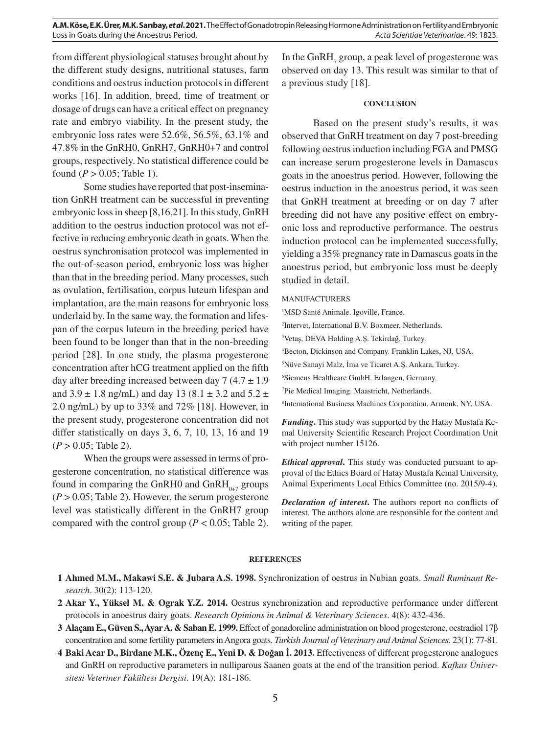**A.M. Köse, E.K. Ürer, M.K. Sarıbay,** *et al***. 2021.** The Effect of Gonadotropin Releasing Hormone Administration on Fertility and Embryonic Loss in Goats during the Anoestrus Period. *Acta Scientiae Veterinariae*. 49: 1823.

from different physiological statuses brought about by the different study designs, nutritional statuses, farm conditions and oestrus induction protocols in different works [16]. In addition, breed, time of treatment or dosage of drugs can have a critical effect on pregnancy rate and embryo viability. In the present study, the embryonic loss rates were 52.6%, 56.5%, 63.1% and 47.8% in the GnRH0, GnRH7, GnRH0+7 and control groups, respectively. No statistical difference could be found  $(P > 0.05$ ; Table 1).

Some studies have reported that post-insemination GnRH treatment can be successful in preventing embryonic loss in sheep [8,16,21]. In this study, GnRH addition to the oestrus induction protocol was not effective in reducing embryonic death in goats. When the oestrus synchronisation protocol was implemented in the out-of-season period, embryonic loss was higher than that in the breeding period. Many processes, such as ovulation, fertilisation, corpus luteum lifespan and implantation, are the main reasons for embryonic loss underlaid by. In the same way, the formation and lifespan of the corpus luteum in the breeding period have been found to be longer than that in the non-breeding period [28]. In one study, the plasma progesterone concentration after hCG treatment applied on the fifth day after breeding increased between day  $7(4.7 \pm 1.9)$ and  $3.9 \pm 1.8$  ng/mL) and day 13 (8.1  $\pm$  3.2 and 5.2  $\pm$ 2.0 ng/mL) by up to 33% and 72% [18]. However, in the present study, progesterone concentration did not differ statistically on days 3, 6, 7, 10, 13, 16 and 19  $(P > 0.05;$  Table 2).

When the groups were assessed in terms of progesterone concentration, no statistical difference was found in comparing the GnRH0 and  $GnRH_{0,7}$  groups  $(P > 0.05;$  Table 2). However, the serum progesterone level was statistically different in the GnRH7 group compared with the control group ( $P < 0.05$ ; Table 2).

In the GnRH<sub>7</sub> group, a peak level of progesterone was observed on day 13. This result was similar to that of a previous study [18].

#### **CONCLUSION**

Based on the present study's results, it was observed that GnRH treatment on day 7 post-breeding following oestrus induction including FGA and PMSG can increase serum progesterone levels in Damascus goats in the anoestrus period. However, following the oestrus induction in the anoestrus period, it was seen that GnRH treatment at breeding or on day 7 after breeding did not have any positive effect on embryonic loss and reproductive performance. The oestrus induction protocol can be implemented successfully, yielding a 35% pregnancy rate in Damascus goats in the anoestrus period, but embryonic loss must be deeply studied in detail.

#### MANUFACTURERS

- <sup>1</sup>MSD Santé Animale. Igoville, France.
- 2 Intervet, International B.V. Boxmeer, Netherlands.
- 3 Vetaş, DEVA Holding A.Ş. Tekirdağ, Turkey.

4 Becton, Dickinson and Company. Franklin Lakes, NJ, USA.

5 Nüve Sanayi Malz, İma ve Ticaret A.Ş. Ankara, Turkey.

6 Siemens Healthcare GmbH. Erlangen, Germany.

7 Pie Medical Imaging. Maastricht, Netherlands.

8 International Business Machines Corporation. Armonk, NY, USA.

*Funding***.** This study was supported by the Hatay Mustafa Kemal University Scientific Research Project Coordination Unit with project number 15126.

*Ethical approval***.** This study was conducted pursuant to approval of the Ethics Board of Hatay Mustafa Kemal University, Animal Experiments Local Ethics Committee (no. 2015/9-4).

*Declaration of interest***.** The authors report no conflicts of interest. The authors alone are responsible for the content and writing of the paper.

#### **REFERENCES**

- **1 Ahmed M.M., Makawi S.E. & Jubara A.S. 1998.** Synchronization of oestrus in Nubian goats. *Small Ruminant Research*. 30(2): 113-120.
- **2 Akar Y., Yüksel M. & Ograk Y.Z. 2014.** Oestrus synchronization and reproductive performance under different protocols in anoestrus dairy goats. *Research Opinions in Animal & Veterinary Sciences*. 4(8): 432-436.
- **3 Alaçam E., Güven S., Ayar A. & Saban E. 1999.** Effect of gonadoreline administration on blood progesterone, oestradiol 17β concentration and some fertility parameters in Angora goats. *Turkish Journal of Veterinary and Animal Sciences*. 23(1): 77-81.
- **4 Baki Acar D., Birdane M.K., Özenç E., Yeni D. & Doğan İ. 2013.** Effectiveness of different progesterone analogues and GnRH on reproductive parameters in nulliparous Saanen goats at the end of the transition period. *Kafkas Üniversitesi Veteriner Fakültesi Dergisi*. 19(A): 181-186.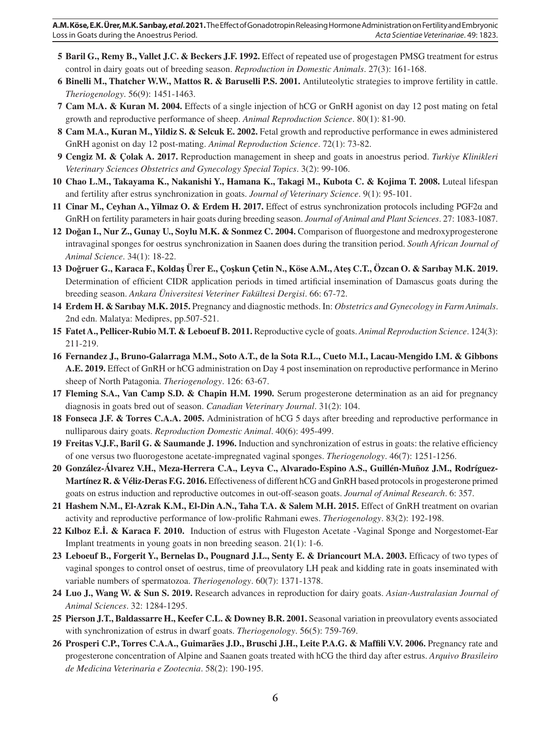- **5** Baril G., Remy B., Vallet J.C. & Beckers J.F. 1992. Effect of repeated use of progestagen PMSG treatment for estrus control in dairy goats out of breeding season. *Reproduction in Domestic Animals*. 27(3): 161-168.
- **6 Binelli M., Thatcher W.W., Mattos R. & Baruselli P.S. 2001.** Antiluteolytic strategies to improve fertility in cattle. *Theriogenology*. 56(9): 1451-1463.
- **7 Cam M.A. & Kuran M. 2004.** Effects of a single injection of hCG or GnRH agonist on day 12 post mating on fetal growth and reproductive performance of sheep. *Animal Reproduction Science*. 80(1): 81-90.
- **8 Cam M.A., Kuran M., Yildiz S. & Selcuk E. 2002.** Fetal growth and reproductive performance in ewes administered GnRH agonist on day 12 post-mating. *Animal Reproduction Science*. 72(1): 73-82.
- **9 Cengiz M. & Çolak A. 2017.** Reproduction management in sheep and goats in anoestrus period. *Turkiye Klinikleri Veterinary Sciences Obstetrics and Gynecology Special Topics*. 3(2): 99-106.
- **10 Chao L.M., Takayama K., Nakanishi Y., Hamana K., Takagi M., Kubota C. & Kojima T. 2008.** Luteal lifespan and fertility after estrus synchronization in goats. *Journal of Veterinary Science*. 9(1): 95-101.
- **11 Cinar M., Ceyhan A., Yilmaz O. & Erdem H. 2017.** Effect of estrus synchronization protocols including PGF2α and GnRH on fertility parameters in hair goats during breeding season. *Journal of Animal and Plant Sciences*. 27: 1083-1087.
- **12 Doğan I., Nur Z., Gunay U., Soylu M.K. & Sonmez C. 2004.** Comparison of fluorgestone and medroxyprogesterone intravaginal sponges for oestrus synchronization in Saanen does during the transition period. *South African Journal of Animal Science*. 34(1): 18-22.
- **13 Doğruer G., Karaca F., Koldaş Ürer E., Çoşkun Çetin N., Köse A.M., Ateş C.T., Özcan O. & Sarıbay M.K. 2019.**  Determination of efficient CIDR application periods in timed artificial insemination of Damascus goats during the breeding season. *Ankara Üniversitesi Veteriner Fakültesi Dergisi*. 66: 67-72.
- **14 Erdem H. & Sarıbay M.K. 2015.** Pregnancy and diagnostic methods. In: *Obstetrics and Gynecology in Farm Animals*. 2nd edn. Malatya: Medipres, pp.507-521.
- **15 Fatet A., Pellicer-Rubio M.T. & Leboeuf B. 2011.** Reproductive cycle of goats. *Animal Reproduction Science*. 124(3): 211-219.
- **16 Fernandez J., Bruno-Galarraga M.M., Soto A.T., de la Sota R.L., Cueto M.I., Lacau-Mengido I.M. & Gibbons A.E. 2019.** Effect of GnRH or hCG administration on Day 4 post insemination on reproductive performance in Merino sheep of North Patagonia. *Theriogenology*. 126: 63-67.
- **17 Fleming S.A., Van Camp S.D. & Chapin H.M. 1990.** Serum progesterone determination as an aid for pregnancy diagnosis in goats bred out of season. *Canadian Veterinary Journal*. 31(2): 104.
- **18 Fonseca J.F. & Torres C.A.A. 2005.** Administration of hCG 5 days after breeding and reproductive performance in nulliparous dairy goats. *Reproduction Domestic Animal*. 40(6): 495-499.
- **19 Freitas V.J.F., Baril G. & Saumande J. 1996.** Induction and synchronization of estrus in goats: the relative efficiency of one versus two fluorogestone acetate-impregnated vaginal sponges. *Theriogenology*. 46(7): 1251-1256.
- **20 González-Álvarez V.H., Meza-Herrera C.A., Leyva C., Alvarado-Espino A.S., Guillén-Muñoz J.M., Rodríguez-Martínez R. & Véliz-Deras F.G. 2016.** Effectiveness of different hCG and GnRH based protocols in progesterone primed goats on estrus induction and reproductive outcomes in out-off-season goats. *Journal of Animal Research*. 6: 357.
- **21 Hashem N.M., El-Azrak K.M., El-Din A.N., Taha T.A. & Salem M.H. 2015.** Effect of GnRH treatment on ovarian activity and reproductive performance of low-prolific Rahmani ewes. *Theriogenology*. 83(2): 192-198.
- **22 Kılboz E.İ. & Karaca F. 2010.** Induction of estrus with Flugeston Acetate -Vaginal Sponge and Norgestomet-Ear Implant treatments in young goats in non breeding season. 21(1): 1-6.
- **23 Leboeuf B., Forgerit Y., Bernelas D., Pougnard J.L., Senty E. & Driancourt M.A. 2003.** Efficacy of two types of vaginal sponges to control onset of oestrus, time of preovulatory LH peak and kidding rate in goats inseminated with variable numbers of spermatozoa. *Theriogenology*. 60(7): 1371-1378.
- **24 Luo J., Wang W. & Sun S. 2019.** Research advances in reproduction for dairy goats. *Asian-Australasian Journal of Animal Sciences*. 32: 1284-1295.
- **25 Pierson J.T., Baldassarre H., Keefer C.L. & Downey B.R. 2001.** Seasonal variation in preovulatory events associated with synchronization of estrus in dwarf goats. *Theriogenology*. 56(5): 759-769.
- **26 Prosperi C.P., Torres C.A.A., Guimarães J.D., Bruschi J.H., Leite P.A.G. & Maffili V.V. 2006.** Pregnancy rate and progesterone concentration of Alpine and Saanen goats treated with hCG the third day after estrus. *Arquivo Brasileiro de Medicina Veterinaria e Zootecnia*. 58(2): 190-195.